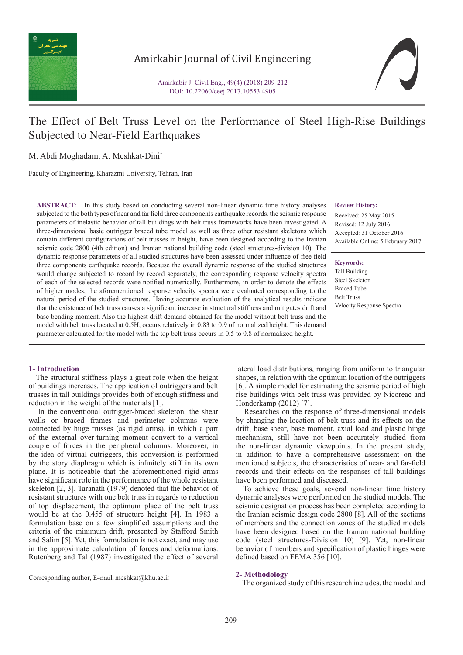

# Amirkabir Journal of Civil Engineering

Amirkabir J. Civil Eng., 49(4) (2018) 209-212 DOI: 10.22060/ceej.2017.10553.4905

# The Effect of Belt Truss Level on the Performance of Steel High-Rise Buildings Subjected to Near-Field Earthquakes

M. Abdi Moghadam, A. Meshkat-Dini\*

Faculty of Engineering, Kharazmi University, Tehran, Iran

**ABSTRACT:** In this study based on conducting several non-linear dynamic time history analyses subjected to the both types of near and far field three components earthquake records, the seismic response parameters of inelastic behavior of tall buildings with belt truss frameworks have been investigated. A three-dimensional basic outrigger braced tube model as well as three other resistant skeletons which contain different configurations of belt trusses in height, have been designed according to the Iranian seismic code 2800 (4th edition) and Iranian national building code (steel structures-division 10). The dynamic response parameters of all studied structures have been assessed under influence of free field three components earthquake records. Because the overall dynamic response of the studied structures would change subjected to record by record separately, the corresponding response velocity spectra of each of the selected records were notified numerically. Furthermore, in order to denote the effects of higher modes, the aforementioned response velocity spectra were evaluated corresponding to the natural period of the studied structures. Having accurate evaluation of the analytical results indicate that the existence of belt truss causes a significant increase in structural stiffness and mitigates drift and base bending moment. Also the highest drift demand obtained for the model without belt truss and the model with belt truss located at 0.5H, occurs relatively in 0.83 to 0.9 of normalized height. This demand parameter calculated for the model with the top belt truss occurs in 0.5 to 0.8 of normalized height.

#### **Review History:**

Received: 25 May 2015 Revised: 12 July 2016 Accepted: 31 October 2016 Available Online: 5 February 2017

**Keywords:** Tall Building

Steel Skeleton Braced Tube Belt Truss Velocity Response Spectra

# **1- Introduction**

 The structural stiffness plays a great role when the height of buildings increases. The application of outriggers and belt trusses in tall buildings provides both of enough stiffness and reduction in the weight of the materials [1].

 In the conventional outrigger-braced skeleton, the shear walls or braced frames and perimeter columns were connected by huge trusses (as rigid arms), in which a part of the external over-turning moment convert to a vertical couple of forces in the peripheral columns. Moreover, in the idea of virtual outriggers, this conversion is performed by the story diaphragm which is infinitely stiff in its own plane. It is noticeable that the aforementioned rigid arms have significant role in the performance of the whole resistant skeleton [2, 3]. Taranath (1979) denoted that the behavior of resistant structures with one belt truss in regards to reduction of top displacement, the optimum place of the belt truss would be at the 0.455 of structure height [4]. In 1983 a formulation base on a few simplified assumptions and the criteria of the minimum drift, presented by Stafford Smith and Salim [5]. Yet, this formulation is not exact, and may use in the approximate calculation of forces and deformations. Rutenberg and Tal (1987) investigated the effect of several

lateral load distributions, ranging from uniform to triangular shapes, in relation with the optimum location of the outriggers [6]. A simple model for estimating the seismic period of high rise buildings with belt truss was provided by Nicoreac and Honderkamp (2012) [7].

 Researches on the response of three-dimensional models by changing the location of belt truss and its effects on the drift, base shear, base moment, axial load and plastic hinge mechanism, still have not been accurately studied from the non-linear dynamic viewpoints. In the present study, in addition to have a comprehensive assessment on the mentioned subjects, the characteristics of near- and far-field records and their effects on the responses of tall buildings have been performed and discussed.

 To achieve these goals, several non-linear time history dynamic analyses were performed on the studied models. The seismic designation process has been completed according to the Iranian seismic design code 2800 [8]. All of the sections of members and the connection zones of the studied models have been designed based on the Iranian national building code (steel structures-Division 10) [9]. Yet, non-linear behavior of members and specification of plastic hinges were defined based on FEMA 356 [10].

## **2- Methodology**

Corresponding author, E-mail: meshkat@khu.ac.ir<br>The organized study of this research includes, the modal and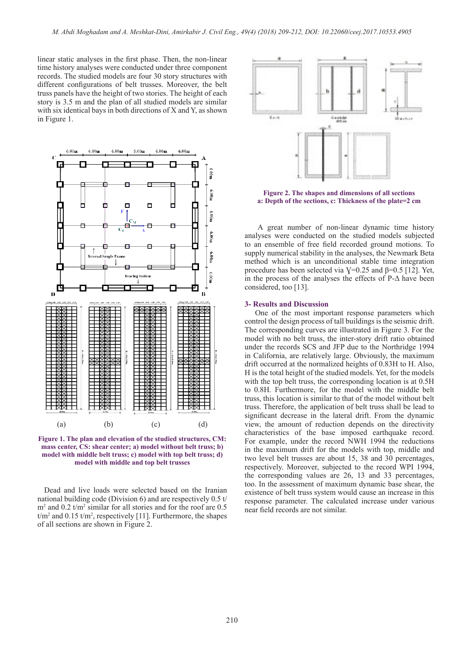linear static analyses in the first phase. Then, the non-linear time history analyses were conducted under three component records. The studied models are four 30 story structures with different configurations of belt trusses. Moreover, the belt truss panels have the height of two stories. The height of each story is 3.5 m and the plan of all studied models are similar with six identical bays in both directions of X and Y, as shown in Figure 1.



**Figure 1. The plan and elevation of the studied structures, CM: mass center, CS: shear center; a) model without belt truss; b) model with middle belt truss; c) model with top belt truss; d) model with middle and top belt trusses**

 Dead and live loads were selected based on the Iranian national building code (Division 6) and are respectively 0.5 t/ m2 and 0.2 t/m2 similar for all stories and for the roof are 0.5  $t/m^2$  and 0.15  $t/m^2$ , respectively [11]. Furthermore, the shapes of all sections are shown in Figure 2.



**Figure 2. The shapes and dimensions of all sections a: Depth of the sections, c: Thickness of the plate=2 cm**

 A great number of non-linear dynamic time history analyses were conducted on the studied models subjected to an ensemble of free field recorded ground motions. To supply numerical stability in the analyses, the Newmark Beta method which is an unconditional stable time integration procedure has been selected via  $V=0.25$  and  $\beta=0.5$  [12]. Yet, in the process of the analyses the effects of  $P-\Delta$  have been considered, too [13].

## **3- Results and Discussion**

 One of the most important response parameters which control the design process of tall buildings is the seismic drift. The corresponding curves are illustrated in Figure 3. For the model with no belt truss, the inter-story drift ratio obtained under the records SCS and JFP due to the Northridge 1994 in California, are relatively large. Obviously, the maximum drift occurred at the normalized heights of 0.83H to H. Also, H is the total height of the studied models. Yet, for the models with the top belt truss, the corresponding location is at 0.5H to 0.8H. Furthermore, for the model with the middle belt truss, this location is similar to that of the model without belt truss. Therefore, the application of belt truss shall be lead to significant decrease in the lateral drift. From the dynamic view, the amount of reduction depends on the directivity characteristics of the base imposed earthquake record. For example, under the record NWH 1994 the reductions in the maximum drift for the models with top, middle and two level belt trusses are about 15, 38 and 30 percentages, respectively. Moreover, subjected to the record WPI 1994, the corresponding values are 26, 13 and 33 percentages, too. In the assessment of maximum dynamic base shear, the existence of belt truss system would cause an increase in this response parameter. The calculated increase under various near field records are not similar.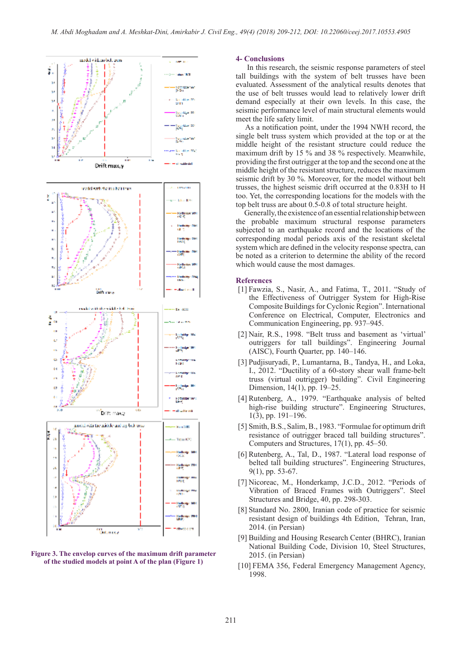



### **4- Conclusions**

 In this research, the seismic response parameters of steel tall buildings with the system of belt trusses have been evaluated. Assessment of the analytical results denotes that the use of belt trusses would lead to relatively lower drift demand especially at their own levels. In this case, the seismic performance level of main structural elements would meet the life safety limit.

 As a notification point, under the 1994 NWH record, the single belt truss system which provided at the top or at the middle height of the resistant structure could reduce the maximum drift by 15 % and 38 % respectively. Meanwhile, providing the first outrigger at the top and the second one at the middle height of the resistant structure, reduces the maximum seismic drift by 30 %. Moreover, for the model without belt trusses, the highest seismic drift occurred at the 0.83H to H too. Yet, the corresponding locations for the models with the top belt truss are about 0.5-0.8 of total structure height.

 Generally, the existence of an essential relationship between the probable maximum structural response parameters subjected to an earthquake record and the locations of the corresponding modal periods axis of the resistant skeletal system which are defined in the velocity response spectra, can be noted as a criterion to determine the ability of the record which would cause the most damages.

#### **References**

- [1] Fawzia, S., Nasir, A., and Fatima, T., 2011. "Study of the Effectiveness of Outrigger System for High-Rise Composite Buildings for Cyclonic Region". International Conference on Electrical, Computer, Electronics and Communication Engineering, pp. 937–945.
- [2] Nair, R.S., 1998. "Belt truss and basement as 'virtual' outriggers for tall buildings". Engineering Journal (AISC), Fourth Quarter, pp. 140–146.
- [3] Pudjisuryadi, P., Lumantarna, B., Tandya, H., and Loka, I., 2012. "Ductility of a 60-story shear wall frame-belt truss (virtual outrigger) building". Civil Engineering Dimension, 14(1), pp. 19–25.
- [4] Rutenberg, A., 1979. "Earthquake analysis of belted high-rise building structure". Engineering Structures, 1(3), pp. 191–196.
- [5] Smith, B.S., Salim, B., 1983. "Formulae for optimum drift resistance of outrigger braced tall building structures". Computers and Structures, 17(1), pp. 45–50.
- [6] Rutenberg, A., Tal, D., 1987. "Lateral load response of belted tall building structures". Engineering Structures, 9(1), pp. 53-67.
- [7] Nicoreac, M., Honderkamp, J.C.D., 2012. "Periods of Vibration of Braced Frames with Outriggers". Steel Structures and Bridge, 40, pp. 298-303.
- [8] Standard No. 2800, Iranian code of practice for seismic resistant design of buildings 4th Edition, Tehran, Iran, 2014. (in Persian)
- [9] Building and Housing Research Center (BHRC), Iranian National Building Code, Division 10, Steel Structures, 2015. (in Persian)
- [10] FEMA 356, Federal Emergency Management Agency, 1998.